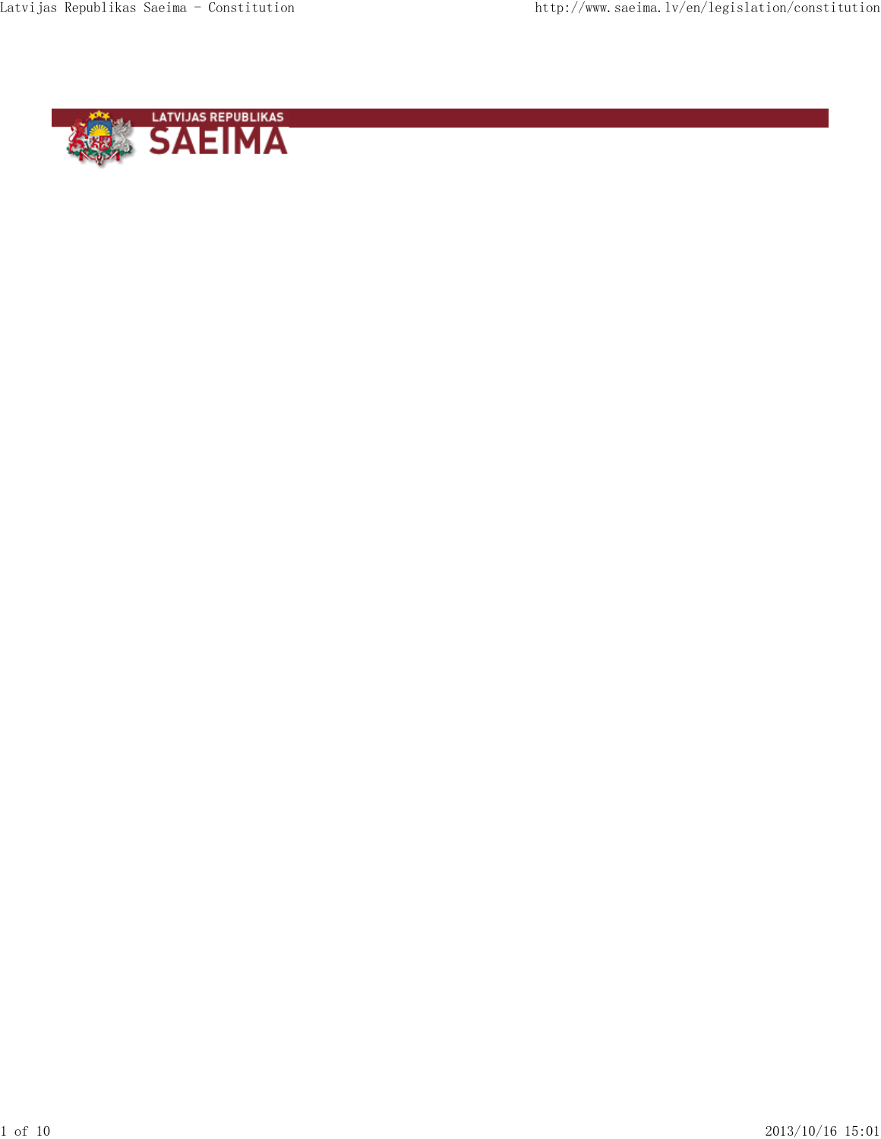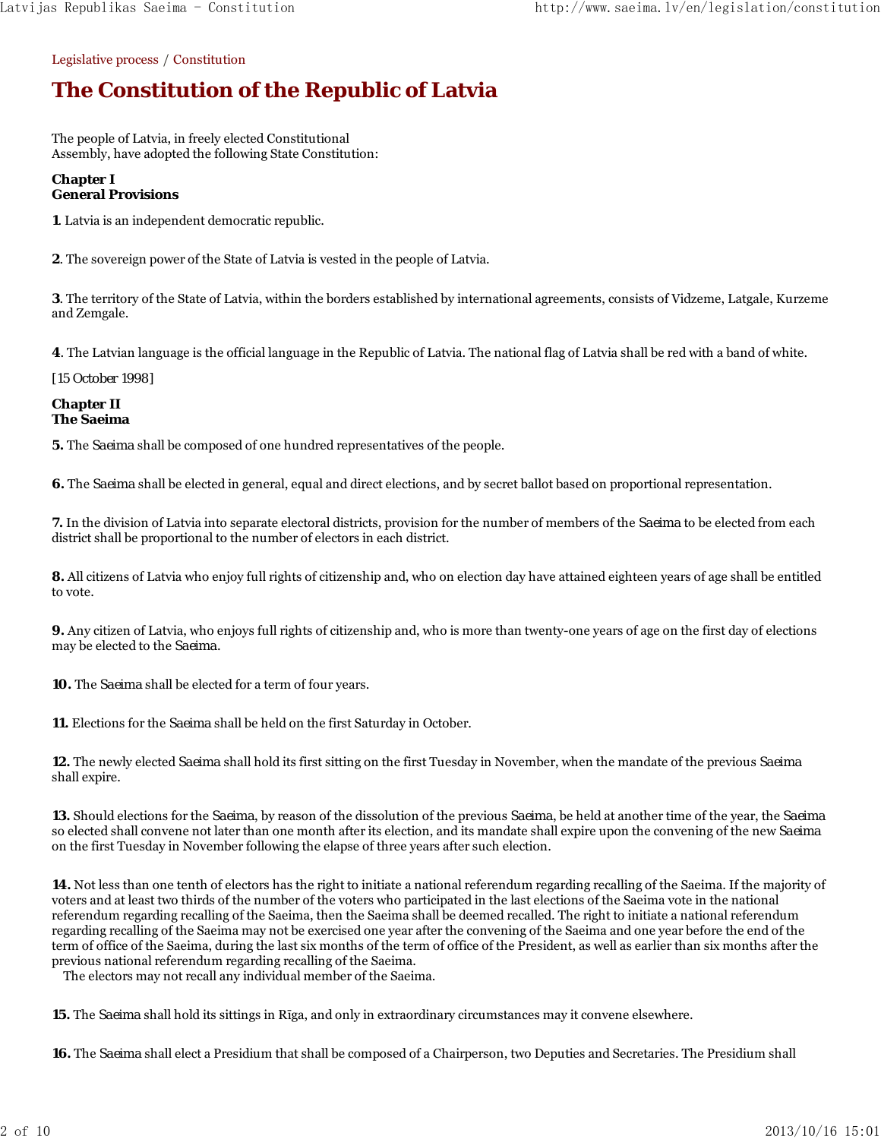Legislative process / Constitution

# **The Constitution of the Republic of Latvia**

The people of Latvia, in freely elected Constitutional Assembly, have adopted the following State Constitution:

# **Chapter I General Provisions**

**1**. Latvia is an independent democratic republic.

**2**. The sovereign power of the State of Latvia is vested in the people of Latvia.

**3**. The territory of the State of Latvia, within the borders established by international agreements, consists of Vidzeme, Latgale, Kurzeme and Zemgale.

**4**. The Latvian language is the official language in the Republic of Latvia. The national flag of Latvia shall be red with a band of white.

*[15 October 1998]*

#### **Chapter II The Saeima**

**5.** The *Saeima* shall be composed of one hundred representatives of the people.

**6.** The *Saeima* shall be elected in general, equal and direct elections, and by secret ballot based on proportional representation.

**7.** In the division of Latvia into separate electoral districts, provision for the number of members of the *Saeima* to be elected from each district shall be proportional to the number of electors in each district.

**8.** All citizens of Latvia who enjoy full rights of citizenship and, who on election day have attained eighteen years of age shall be entitled to vote.

**9.** Any citizen of Latvia, who enjoys full rights of citizenship and, who is more than twenty-one years of age on the first day of elections may be elected to the *Saeima*.

**10.** The *Saeima* shall be elected for a term of four years.

**11.** Elections for the *Saeima* shall be held on the first Saturday in October.

**12.** The newly elected *Saeima* shall hold its first sitting on the first Tuesday in November, when the mandate of the previous *Saeima* shall expire.

**13.** Should elections for the *Saeima*, by reason of the dissolution of the previous *Saeima*, be held at another time of the year, the *Saeima* so elected shall convene not later than one month after its election, and its mandate shall expire upon the convening of the new *Saeima* on the first Tuesday in November following the elapse of three years after such election.

**14.** Not less than one tenth of electors has the right to initiate a national referendum regarding recalling of the Saeima. If the majority of voters and at least two thirds of the number of the voters who participated in the last elections of the Saeima vote in the national referendum regarding recalling of the Saeima, then the Saeima shall be deemed recalled. The right to initiate a national referendum regarding recalling of the Saeima may not be exercised one year after the convening of the Saeima and one year before the end of the term of office of the Saeima, during the last six months of the term of office of the President, as well as earlier than six months after the previous national referendum regarding recalling of the Saeima.

The electors may not recall any individual member of the Saeima.

**15.** The *Saeima* shall hold its sittings in Rīga, and only in extraordinary circumstances may it convene elsewhere.

**16.** The *Saeima* shall elect a Presidium that shall be composed of a Chairperson, two Deputies and Secretaries. The Presidium shall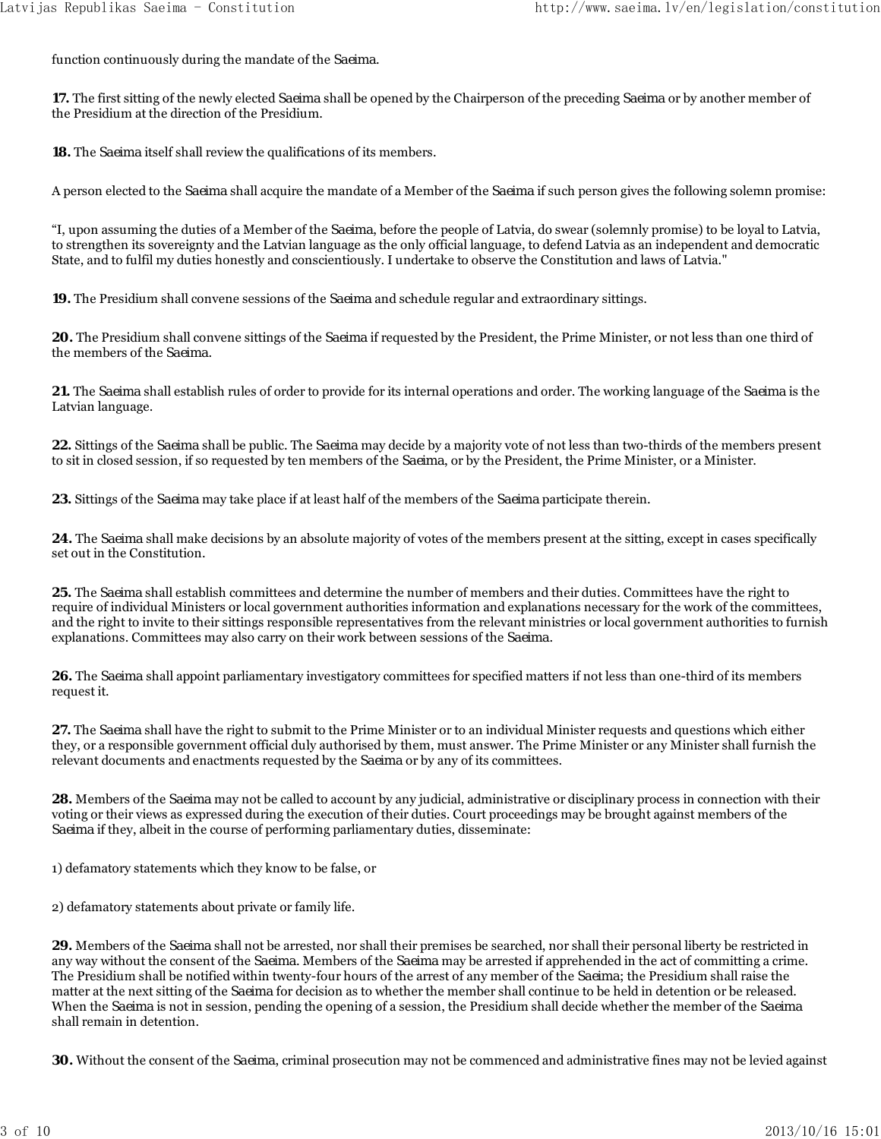function continuously during the mandate of the *Saeima*.

**17.** The first sitting of the newly elected *Saeima* shall be opened by the Chairperson of the preceding *Saeima* or by another member of the Presidium at the direction of the Presidium.

**18.** The *Saeima* itself shall review the qualifications of its members.

A person elected to the *Saeima* shall acquire the mandate of a Member of the *Saeima* if such person gives the following solemn promise:

"I, upon assuming the duties of a Member of the *Saeima*, before the people of Latvia, do swear (solemnly promise) to be loyal to Latvia, to strengthen its sovereignty and the Latvian language as the only official language, to defend Latvia as an independent and democratic State, and to fulfil my duties honestly and conscientiously. I undertake to observe the Constitution and laws of Latvia."

**19.** The Presidium shall convene sessions of the *Saeima* and schedule regular and extraordinary sittings.

**20.** The Presidium shall convene sittings of the *Saeima* if requested by the President, the Prime Minister, or not less than one third of the members of the *Saeima*.

**21.** The *Saeima* shall establish rules of order to provide for its internal operations and order. The working language of the *Saeima* is the Latvian language.

**22.** Sittings of the *Saeima* shall be public. The *Saeima* may decide by a majority vote of not less than two-thirds of the members present to sit in closed session, if so requested by ten members of the *Saeima*, or by the President, the Prime Minister, or a Minister.

**23.** Sittings of the *Saeima* may take place if at least half of the members of the *Saeima* participate therein.

**24.** The *Saeima* shall make decisions by an absolute majority of votes of the members present at the sitting, except in cases specifically set out in the Constitution.

**25.** The *Saeima* shall establish committees and determine the number of members and their duties. Committees have the right to require of individual Ministers or local government authorities information and explanations necessary for the work of the committees, and the right to invite to their sittings responsible representatives from the relevant ministries or local government authorities to furnish explanations. Committees may also carry on their work between sessions of the *Saeima*.

**26.** The *Saeima* shall appoint parliamentary investigatory committees for specified matters if not less than one-third of its members request it.

**27.** The *Saeima* shall have the right to submit to the Prime Minister or to an individual Minister requests and questions which either they, or a responsible government official duly authorised by them, must answer. The Prime Minister or any Minister shall furnish the relevant documents and enactments requested by the *Saeima* or by any of its committees.

**28.** Members of the *Saeima* may not be called to account by any judicial, administrative or disciplinary process in connection with their voting or their views as expressed during the execution of their duties. Court proceedings may be brought against members of the *Saeima* if they, albeit in the course of performing parliamentary duties, disseminate:

1) defamatory statements which they know to be false, or

2) defamatory statements about private or family life.

**29.** Members of the *Saeima* shall not be arrested, nor shall their premises be searched, nor shall their personal liberty be restricted in any way without the consent of the *Saeima*. Members of the *Saeima* may be arrested if apprehended in the act of committing a crime. The Presidium shall be notified within twenty-four hours of the arrest of any member of the *Saeima*; the Presidium shall raise the matter at the next sitting of the *Saeima* for decision as to whether the member shall continue to be held in detention or be released. When the *Saeima* is not in session, pending the opening of a session, the Presidium shall decide whether the member of the *Saeima* shall remain in detention.

**30.** Without the consent of the *Saeima*, criminal prosecution may not be commenced and administrative fines may not be levied against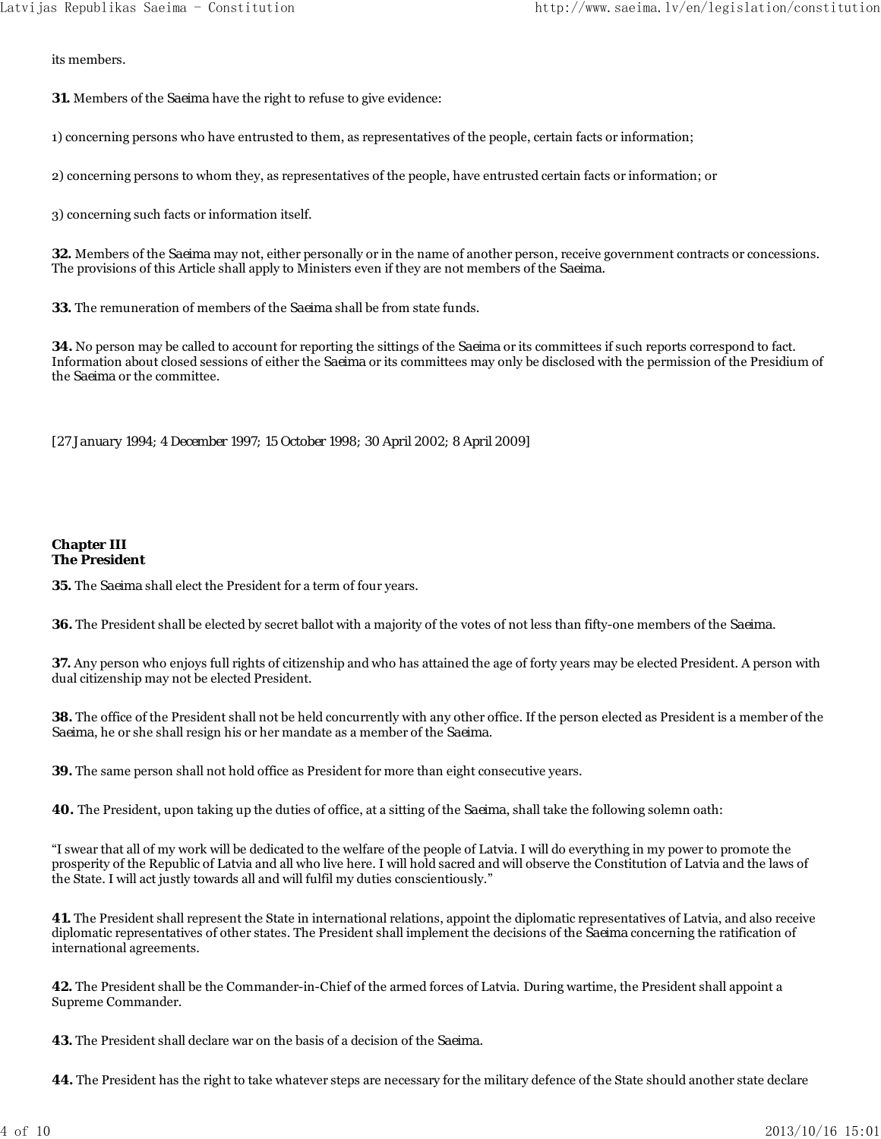its members.

**31.** Members of the *Saeima* have the right to refuse to give evidence:

1) concerning persons who have entrusted to them, as representatives of the people, certain facts or information;

2) concerning persons to whom they, as representatives of the people, have entrusted certain facts or information; or

3) concerning such facts or information itself.

**32.** Members of the *Saeima* may not, either personally or in the name of another person, receive government contracts or concessions. The provisions of this Article shall apply to Ministers even if they are not members of the *Saeima*.

**33.** The remuneration of members of the *Saeima* shall be from state funds.

**34.** No person may be called to account for reporting the sittings of the *Saeima* or its committees if such reports correspond to fact. Information about closed sessions of either the *Saeima* or its committees may only be disclosed with the permission of the Presidium of the *Saeima* or the committee.

*[27 January 1994; 4 December 1997; 15 October 1998; 30 April 2002; 8 April 2009]*

#### **Chapter III The President**

**35.** The *Saeima* shall elect the President for a term of four years.

**36.** The President shall be elected by secret ballot with a majority of the votes of not less than fifty-one members of the *Saeima*.

**37.** Any person who enjoys full rights of citizenship and who has attained the age of forty years may be elected President. A person with dual citizenship may not be elected President.

**38.** The office of the President shall not be held concurrently with any other office. If the person elected as President is a member of the *Saeima*, he or she shall resign his or her mandate as a member of the *Saeima*.

**39.** The same person shall not hold office as President for more than eight consecutive years.

**40.** The President, upon taking up the duties of office, at a sitting of the *Saeima*, shall take the following solemn oath:

"I swear that all of my work will be dedicated to the welfare of the people of Latvia. I will do everything in my power to promote the prosperity of the Republic of Latvia and all who live here. I will hold sacred and will observe the Constitution of Latvia and the laws of the State. I will act justly towards all and will fulfil my duties conscientiously."

**41.** The President shall represent the State in international relations, appoint the diplomatic representatives of Latvia, and also receive diplomatic representatives of other states. The President shall implement the decisions of the *Saeima* concerning the ratification of international agreements.

**42.** The President shall be the Commander-in-Chief of the armed forces of Latvia. During wartime, the President shall appoint a Supreme Commander.

**43.** The President shall declare war on the basis of a decision of the *Saeima*.

**44.** The President has the right to take whatever steps are necessary for the military defence of the State should another state declare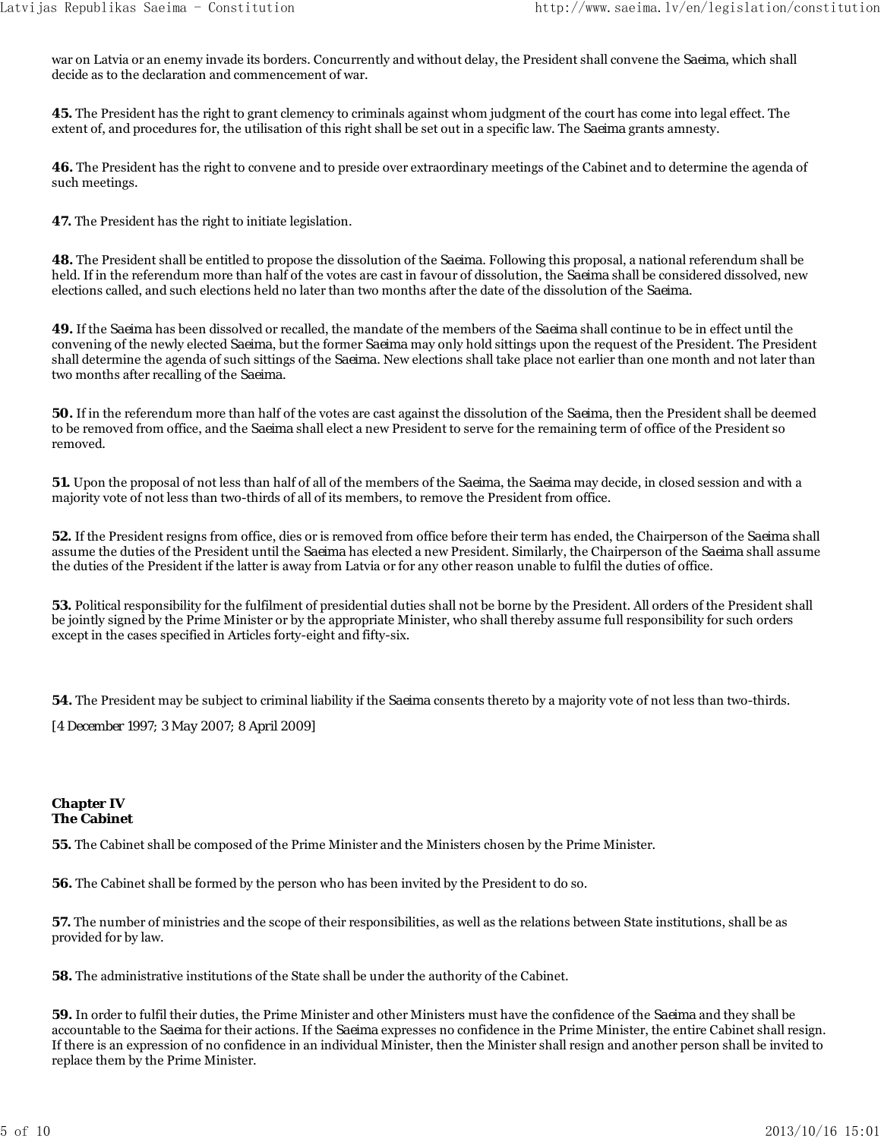war on Latvia or an enemy invade its borders. Concurrently and without delay, the President shall convene the *Saeima*, which shall decide as to the declaration and commencement of war.

**45.** The President has the right to grant clemency to criminals against whom judgment of the court has come into legal effect. The extent of, and procedures for, the utilisation of this right shall be set out in a specific law. The *Saeima* grants amnesty.

**46.** The President has the right to convene and to preside over extraordinary meetings of the Cabinet and to determine the agenda of such meetings.

**47.** The President has the right to initiate legislation.

**48.** The President shall be entitled to propose the dissolution of the *Saeima*. Following this proposal, a national referendum shall be held. If in the referendum more than half of the votes are cast in favour of dissolution, the *Saeima* shall be considered dissolved, new elections called, and such elections held no later than two months after the date of the dissolution of the *Saeima*.

**49.** If the *Saeima* has been dissolved or recalled, the mandate of the members of the *Saeima* shall continue to be in effect until the convening of the newly elected *Saeima*, but the former *Saeima* may only hold sittings upon the request of the President. The President shall determine the agenda of such sittings of the *Saeima*. New elections shall take place not earlier than one month and not later than two months after recalling of the *Saeima*.

**50.** If in the referendum more than half of the votes are cast against the dissolution of the *Saeima*, then the President shall be deemed to be removed from office, and the *Saeima* shall elect a new President to serve for the remaining term of office of the President so removed.

**51.** Upon the proposal of not less than half of all of the members of the *Saeima*, the *Saeima* may decide, in closed session and with a majority vote of not less than two-thirds of all of its members, to remove the President from office.

**52.** If the President resigns from office, dies or is removed from office before their term has ended, the Chairperson of the *Saeima* shall assume the duties of the President until the *Saeima* has elected a new President. Similarly, the Chairperson of the *Saeima* shall assume the duties of the President if the latter is away from Latvia or for any other reason unable to fulfil the duties of office.

**53.** Political responsibility for the fulfilment of presidential duties shall not be borne by the President. All orders of the President shall be jointly signed by the Prime Minister or by the appropriate Minister, who shall thereby assume full responsibility for such orders except in the cases specified in Articles forty-eight and fifty-six.

**54.** The President may be subject to criminal liability if the *Saeima* consents thereto by a majority vote of not less than two-thirds.

*[4 December 1997; 3 May 2007; 8 April 2009]*

# **Chapter IV The Cabinet**

**55.** The Cabinet shall be composed of the Prime Minister and the Ministers chosen by the Prime Minister.

**56.** The Cabinet shall be formed by the person who has been invited by the President to do so.

**57.** The number of ministries and the scope of their responsibilities, as well as the relations between State institutions, shall be as provided for by law.

**58.** The administrative institutions of the State shall be under the authority of the Cabinet.

**59.** In order to fulfil their duties, the Prime Minister and other Ministers must have the confidence of the *Saeima* and they shall be accountable to the *Saeima* for their actions. If the *Saeima* expresses no confidence in the Prime Minister, the entire Cabinet shall resign. If there is an expression of no confidence in an individual Minister, then the Minister shall resign and another person shall be invited to replace them by the Prime Minister.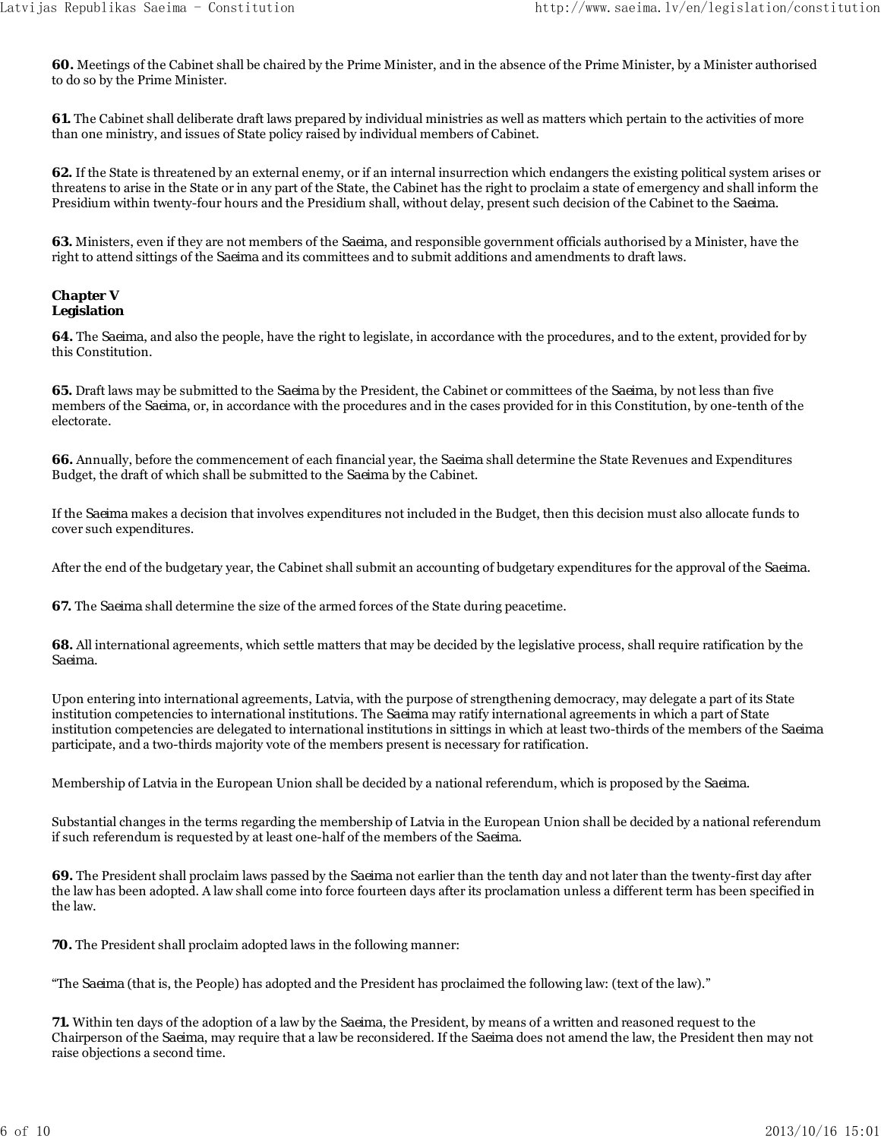**60.** Meetings of the Cabinet shall be chaired by the Prime Minister, and in the absence of the Prime Minister, by a Minister authorised to do so by the Prime Minister.

**61.** The Cabinet shall deliberate draft laws prepared by individual ministries as well as matters which pertain to the activities of more than one ministry, and issues of State policy raised by individual members of Cabinet.

**62.** If the State is threatened by an external enemy, or if an internal insurrection which endangers the existing political system arises or threatens to arise in the State or in any part of the State, the Cabinet has the right to proclaim a state of emergency and shall inform the Presidium within twenty-four hours and the Presidium shall, without delay, present such decision of the Cabinet to the *Saeima*.

**63.** Ministers, even if they are not members of the *Saeima*, and responsible government officials authorised by a Minister, have the right to attend sittings of the *Saeima* and its committees and to submit additions and amendments to draft laws.

#### **Chapter V Legislation**

**64.** The *Saeima*, and also the people, have the right to legislate, in accordance with the procedures, and to the extent, provided for by this Constitution.

**65.** Draft laws may be submitted to the *Saeima* by the President, the Cabinet or committees of the *Saeima*, by not less than five members of the *Saeima*, or, in accordance with the procedures and in the cases provided for in this Constitution, by one-tenth of the electorate.

**66.** Annually, before the commencement of each financial year, the *Saeima* shall determine the State Revenues and Expenditures Budget, the draft of which shall be submitted to the *Saeima* by the Cabinet.

If the *Saeima* makes a decision that involves expenditures not included in the Budget, then this decision must also allocate funds to cover such expenditures.

After the end of the budgetary year, the Cabinet shall submit an accounting of budgetary expenditures for the approval of the *Saeima*.

**67.** The *Saeima* shall determine the size of the armed forces of the State during peacetime.

**68.** All international agreements, which settle matters that may be decided by the legislative process, shall require ratification by the *Saeima*.

Upon entering into international agreements, Latvia, with the purpose of strengthening democracy, may delegate a part of its State institution competencies to international institutions. The *Saeima* may ratify international agreements in which a part of State institution competencies are delegated to international institutions in sittings in which at least two-thirds of the members of the *Saeima* participate, and a two-thirds majority vote of the members present is necessary for ratification.

Membership of Latvia in the European Union shall be decided by a national referendum, which is proposed by the *Saeima*.

Substantial changes in the terms regarding the membership of Latvia in the European Union shall be decided by a national referendum if such referendum is requested by at least one-half of the members of the *Saeima*.

**69.** The President shall proclaim laws passed by the *Saeima* not earlier than the tenth day and not later than the twenty-first day after the law has been adopted. A law shall come into force fourteen days after its proclamation unless a different term has been specified in the law.

**70.** The President shall proclaim adopted laws in the following manner:

"The *Saeima* (that is, the People) has adopted and the President has proclaimed the following law: (text of the law)."

**71.** Within ten days of the adoption of a law by the *Saeima*, the President, by means of a written and reasoned request to the Chairperson of the *Saeima*, may require that a law be reconsidered. If the *Saeima* does not amend the law, the President then may not raise objections a second time.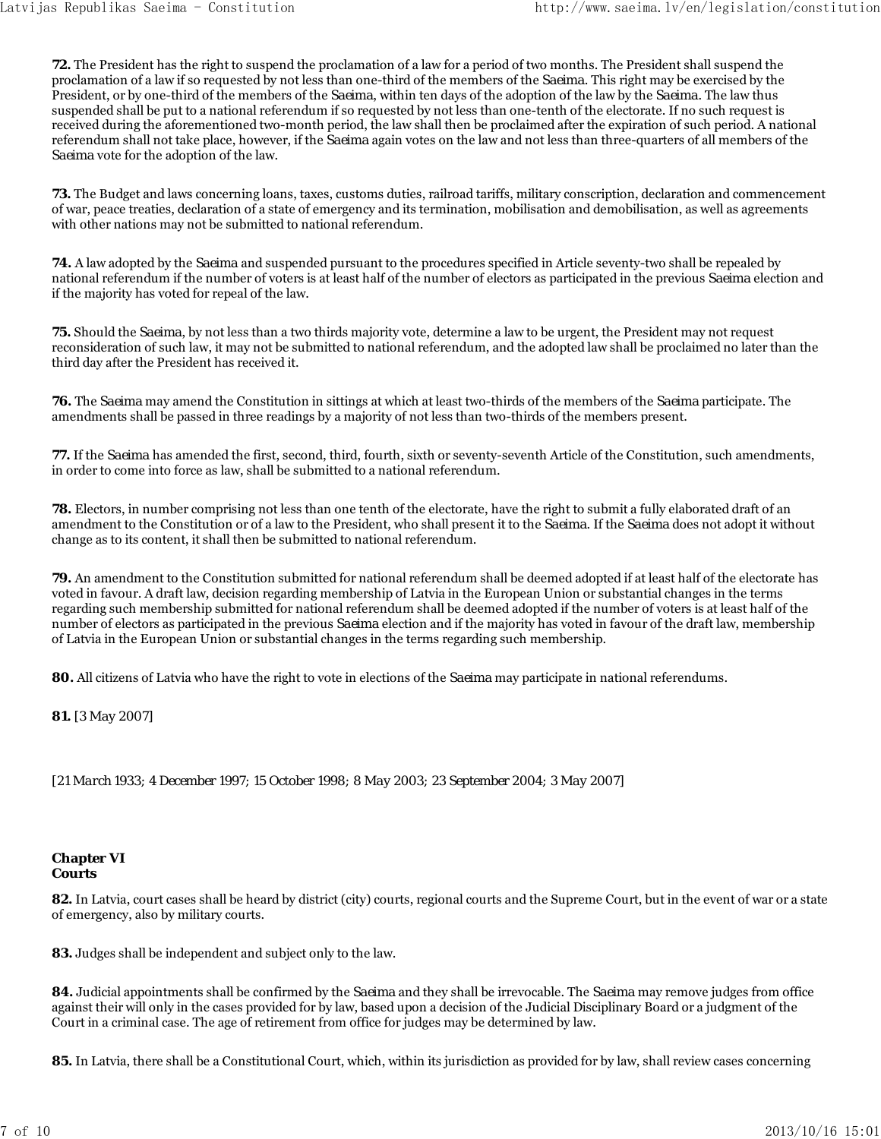**72.** The President has the right to suspend the proclamation of a law for a period of two months. The President shall suspend the proclamation of a law if so requested by not less than one-third of the members of the *Saeima*. This right may be exercised by the President, or by one-third of the members of the *Saeima*, within ten days of the adoption of the law by the *Saeima*. The law thus suspended shall be put to a national referendum if so requested by not less than one-tenth of the electorate. If no such request is received during the aforementioned two-month period, the law shall then be proclaimed after the expiration of such period. A national referendum shall not take place, however, if the *Saeima* again votes on the law and not less than three-quarters of all members of the *Saeima* vote for the adoption of the law.

**73.** The Budget and laws concerning loans, taxes, customs duties, railroad tariffs, military conscription, declaration and commencement of war, peace treaties, declaration of a state of emergency and its termination, mobilisation and demobilisation, as well as agreements with other nations may not be submitted to national referendum.

**74.** A law adopted by the *Saeima* and suspended pursuant to the procedures specified in Article seventy-two shall be repealed by national referendum if the number of voters is at least half of the number of electors as participated in the previous *Saeima* election and if the majority has voted for repeal of the law.

**75.** Should the *Saeima*, by not less than a two thirds majority vote, determine a law to be urgent, the President may not request reconsideration of such law, it may not be submitted to national referendum, and the adopted law shall be proclaimed no later than the third day after the President has received it.

**76.** The *Saeima* may amend the Constitution in sittings at which at least two-thirds of the members of the *Saeima* participate. The amendments shall be passed in three readings by a majority of not less than two-thirds of the members present.

**77.** If the *Saeima* has amended the first, second, third, fourth, sixth or seventy-seventh Article of the Constitution, such amendments, in order to come into force as law, shall be submitted to a national referendum.

**78.** Electors, in number comprising not less than one tenth of the electorate, have the right to submit a fully elaborated draft of an amendment to the Constitution or of a law to the President, who shall present it to the *Saeima*. If the *Saeima* does not adopt it without change as to its content, it shall then be submitted to national referendum.

**79.** An amendment to the Constitution submitted for national referendum shall be deemed adopted if at least half of the electorate has voted in favour. A draft law, decision regarding membership of Latvia in the European Union or substantial changes in the terms regarding such membership submitted for national referendum shall be deemed adopted if the number of voters is at least half of the number of electors as participated in the previous *Saeima* election and if the majority has voted in favour of the draft law, membership of Latvia in the European Union or substantial changes in the terms regarding such membership.

**80.** All citizens of Latvia who have the right to vote in elections of the *Saeima* may participate in national referendums.

**81.** *[3 May 2007]*

*[21 March 1933; 4 December 1997; 15 October 1998; 8 May 2003; 23 September 2004; 3 May 2007]*

#### **Chapter VI Courts**

**82.** In Latvia, court cases shall be heard by district (city) courts, regional courts and the Supreme Court, but in the event of war or a state of emergency, also by military courts.

**83.** Judges shall be independent and subject only to the law.

**84.** Judicial appointments shall be confirmed by the *Saeima* and they shall be irrevocable. The *Saeima* may remove judges from office against their will only in the cases provided for by law, based upon a decision of the Judicial Disciplinary Board or a judgment of the Court in a criminal case. The age of retirement from office for judges may be determined by law.

**85.** In Latvia, there shall be a Constitutional Court, which, within its jurisdiction as provided for by law, shall review cases concerning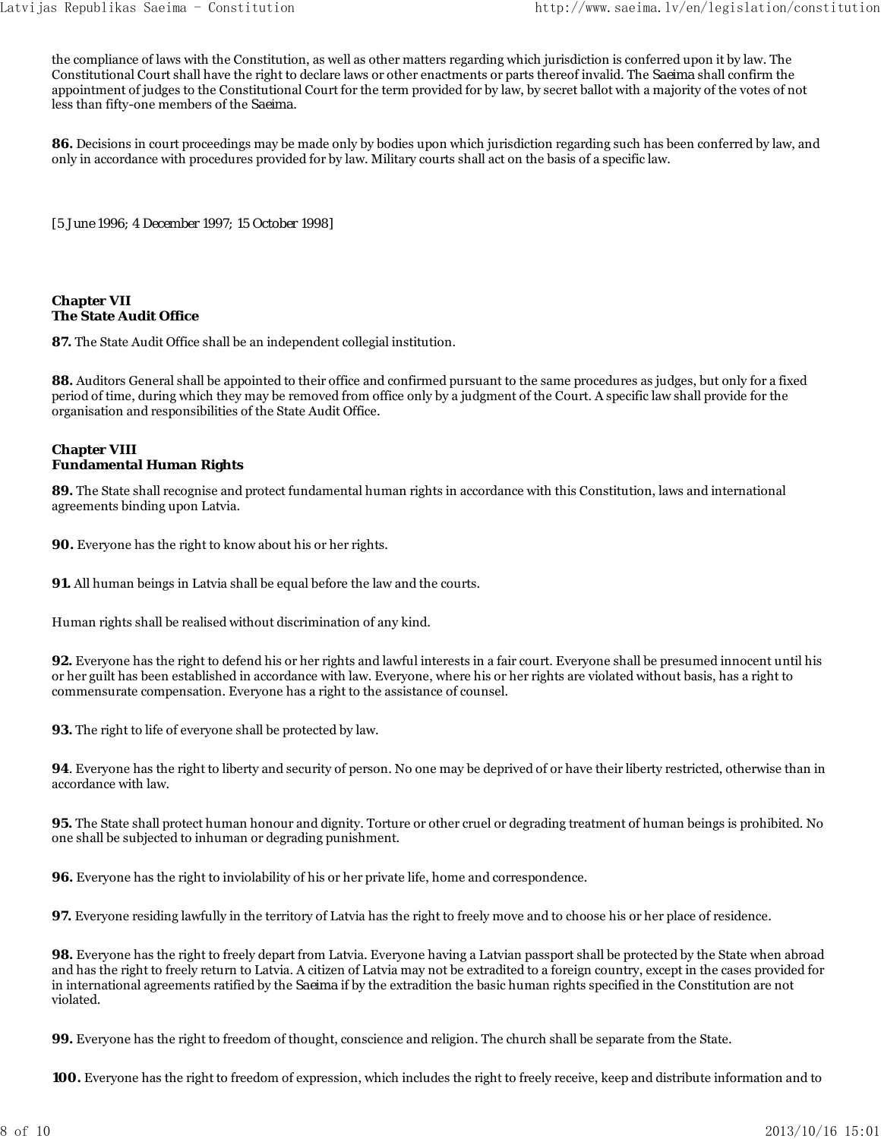the compliance of laws with the Constitution, as well as other matters regarding which jurisdiction is conferred upon it by law. The Constitutional Court shall have the right to declare laws or other enactments or parts thereof invalid. The *Saeima* shall confirm the appointment of judges to the Constitutional Court for the term provided for by law, by secret ballot with a majority of the votes of not less than fifty-one members of the *Saeima*.

**86.** Decisions in court proceedings may be made only by bodies upon which jurisdiction regarding such has been conferred by law, and only in accordance with procedures provided for by law. Military courts shall act on the basis of a specific law.

*[5 June 1996; 4 December 1997; 15 October 1998]*

# **Chapter VII The State Audit Office**

**87.** The State Audit Office shall be an independent collegial institution.

**88.** Auditors General shall be appointed to their office and confirmed pursuant to the same procedures as judges, but only for a fixed period of time, during which they may be removed from office only by a judgment of the Court. A specific law shall provide for the organisation and responsibilities of the State Audit Office.

# **Chapter VIII Fundamental Human Rights**

**89.** The State shall recognise and protect fundamental human rights in accordance with this Constitution, laws and international agreements binding upon Latvia.

**90.** Everyone has the right to know about his or her rights.

**91.** All human beings in Latvia shall be equal before the law and the courts.

Human rights shall be realised without discrimination of any kind.

**92.** Everyone has the right to defend his or her rights and lawful interests in a fair court. Everyone shall be presumed innocent until his or her guilt has been established in accordance with law. Everyone, where his or her rights are violated without basis, has a right to commensurate compensation. Everyone has a right to the assistance of counsel.

**93.** The right to life of everyone shall be protected by law.

**94**. Everyone has the right to liberty and security of person. No one may be deprived of or have their liberty restricted, otherwise than in accordance with law.

**95.** The State shall protect human honour and dignity. Torture or other cruel or degrading treatment of human beings is prohibited. No one shall be subjected to inhuman or degrading punishment.

**96.** Everyone has the right to inviolability of his or her private life, home and correspondence.

**97.** Everyone residing lawfully in the territory of Latvia has the right to freely move and to choose his or her place of residence.

**98.** Everyone has the right to freely depart from Latvia. Everyone having a Latvian passport shall be protected by the State when abroad and has the right to freely return to Latvia. A citizen of Latvia may not be extradited to a foreign country, except in the cases provided for in international agreements ratified by the *Saeima* if by the extradition the basic human rights specified in the Constitution are not violated.

**99.** Everyone has the right to freedom of thought, conscience and religion. The church shall be separate from the State.

**100.** Everyone has the right to freedom of expression, which includes the right to freely receive, keep and distribute information and to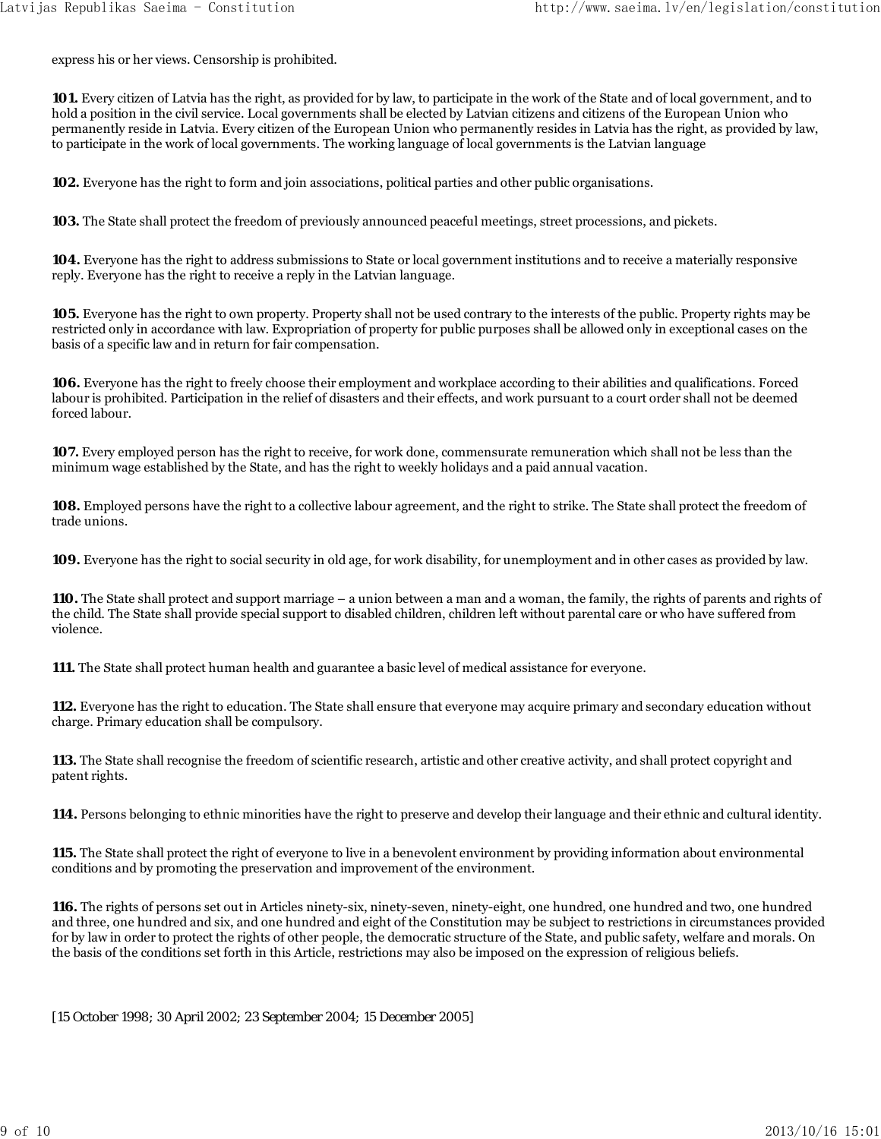express his or her views. Censorship is prohibited.

**101.** Every citizen of Latvia has the right, as provided for by law, to participate in the work of the State and of local government, and to hold a position in the civil service. Local governments shall be elected by Latvian citizens and citizens of the European Union who permanently reside in Latvia. Every citizen of the European Union who permanently resides in Latvia has the right, as provided by law, to participate in the work of local governments. The working language of local governments is the Latvian language

**102.** Everyone has the right to form and join associations, political parties and other public organisations.

**103.** The State shall protect the freedom of previously announced peaceful meetings, street processions, and pickets.

**104.** Everyone has the right to address submissions to State or local government institutions and to receive a materially responsive reply. Everyone has the right to receive a reply in the Latvian language.

**105.** Everyone has the right to own property. Property shall not be used contrary to the interests of the public. Property rights may be restricted only in accordance with law. Expropriation of property for public purposes shall be allowed only in exceptional cases on the basis of a specific law and in return for fair compensation.

**106.** Everyone has the right to freely choose their employment and workplace according to their abilities and qualifications. Forced labour is prohibited. Participation in the relief of disasters and their effects, and work pursuant to a court order shall not be deemed forced labour.

**107.** Every employed person has the right to receive, for work done, commensurate remuneration which shall not be less than the minimum wage established by the State, and has the right to weekly holidays and a paid annual vacation.

**108.** Employed persons have the right to a collective labour agreement, and the right to strike. The State shall protect the freedom of trade unions.

**109.** Everyone has the right to social security in old age, for work disability, for unemployment and in other cases as provided by law.

**110.** The State shall protect and support marriage – a union between a man and a woman, the family, the rights of parents and rights of the child. The State shall provide special support to disabled children, children left without parental care or who have suffered from violence.

**111.** The State shall protect human health and guarantee a basic level of medical assistance for everyone.

**112.** Everyone has the right to education. The State shall ensure that everyone may acquire primary and secondary education without charge. Primary education shall be compulsory.

**113.** The State shall recognise the freedom of scientific research, artistic and other creative activity, and shall protect copyright and patent rights.

**114.** Persons belonging to ethnic minorities have the right to preserve and develop their language and their ethnic and cultural identity.

**115.** The State shall protect the right of everyone to live in a benevolent environment by providing information about environmental conditions and by promoting the preservation and improvement of the environment.

**116.** The rights of persons set out in Articles ninety-six, ninety-seven, ninety-eight, one hundred, one hundred and two, one hundred and three, one hundred and six, and one hundred and eight of the Constitution may be subject to restrictions in circumstances provided for by law in order to protect the rights of other people, the democratic structure of the State, and public safety, welfare and morals. On the basis of the conditions set forth in this Article, restrictions may also be imposed on the expression of religious beliefs.

*[15 October 1998; 30 April 2002; 23 September 2004; 15 December 2005]*